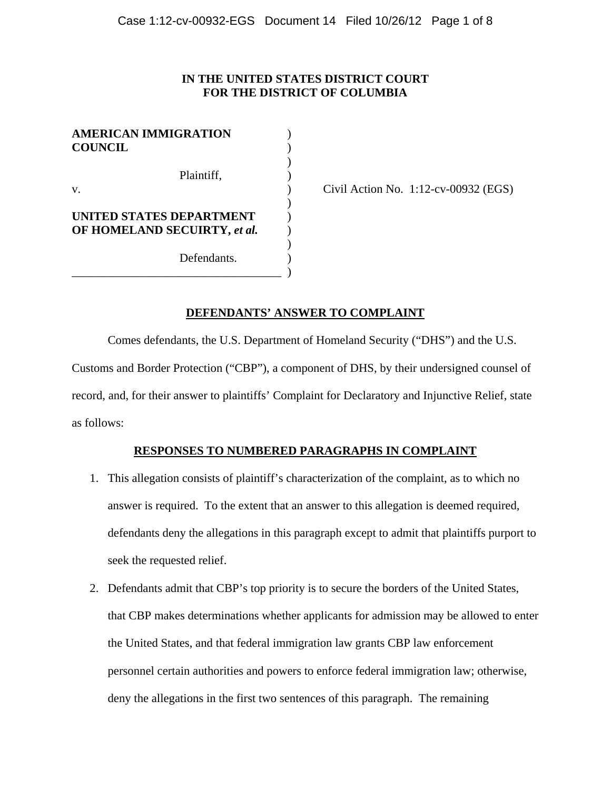# **IN THE UNITED STATES DISTRICT COURT FOR THE DISTRICT OF COLUMBIA**

| <b>AMERICAN IMMIGRATION</b><br><b>COUNCIL</b>            |  |
|----------------------------------------------------------|--|
| Plaintiff,<br>v.                                         |  |
| UNITED STATES DEPARTMENT<br>OF HOMELAND SECUIRTY, et al. |  |
| Defendants.                                              |  |

Civil Action No.  $1:12$ -cv-00932 (EGS)

# **DEFENDANTS' ANSWER TO COMPLAINT**

Comes defendants, the U.S. Department of Homeland Security ("DHS") and the U.S.

Customs and Border Protection ("CBP"), a component of DHS, by their undersigned counsel of record, and, for their answer to plaintiffs' Complaint for Declaratory and Injunctive Relief, state as follows:

# **RESPONSES TO NUMBERED PARAGRAPHS IN COMPLAINT**

- 1. This allegation consists of plaintiff's characterization of the complaint, as to which no answer is required. To the extent that an answer to this allegation is deemed required, defendants deny the allegations in this paragraph except to admit that plaintiffs purport to seek the requested relief.
- 2. Defendants admit that CBP's top priority is to secure the borders of the United States, that CBP makes determinations whether applicants for admission may be allowed to enter the United States, and that federal immigration law grants CBP law enforcement personnel certain authorities and powers to enforce federal immigration law; otherwise, deny the allegations in the first two sentences of this paragraph. The remaining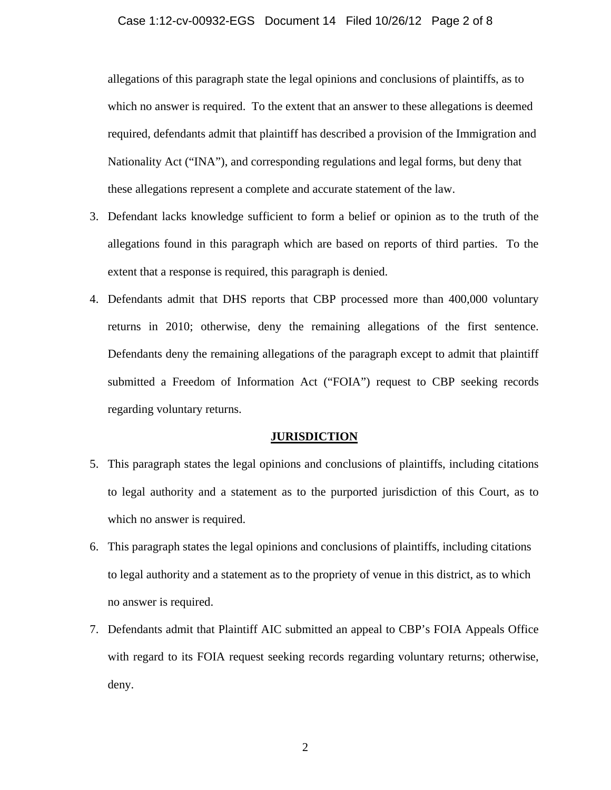## Case 1:12-cv-00932-EGS Document 14 Filed 10/26/12 Page 2 of 8

allegations of this paragraph state the legal opinions and conclusions of plaintiffs, as to which no answer is required. To the extent that an answer to these allegations is deemed required, defendants admit that plaintiff has described a provision of the Immigration and Nationality Act ("INA"), and corresponding regulations and legal forms, but deny that these allegations represent a complete and accurate statement of the law.

- 3. Defendant lacks knowledge sufficient to form a belief or opinion as to the truth of the allegations found in this paragraph which are based on reports of third parties. To the extent that a response is required, this paragraph is denied.
- 4. Defendants admit that DHS reports that CBP processed more than 400,000 voluntary returns in 2010; otherwise, deny the remaining allegations of the first sentence. Defendants deny the remaining allegations of the paragraph except to admit that plaintiff submitted a Freedom of Information Act ("FOIA") request to CBP seeking records regarding voluntary returns.

#### **JURISDICTION**

- 5. This paragraph states the legal opinions and conclusions of plaintiffs, including citations to legal authority and a statement as to the purported jurisdiction of this Court, as to which no answer is required.
- 6. This paragraph states the legal opinions and conclusions of plaintiffs, including citations to legal authority and a statement as to the propriety of venue in this district, as to which no answer is required.
- 7. Defendants admit that Plaintiff AIC submitted an appeal to CBP's FOIA Appeals Office with regard to its FOIA request seeking records regarding voluntary returns; otherwise, deny.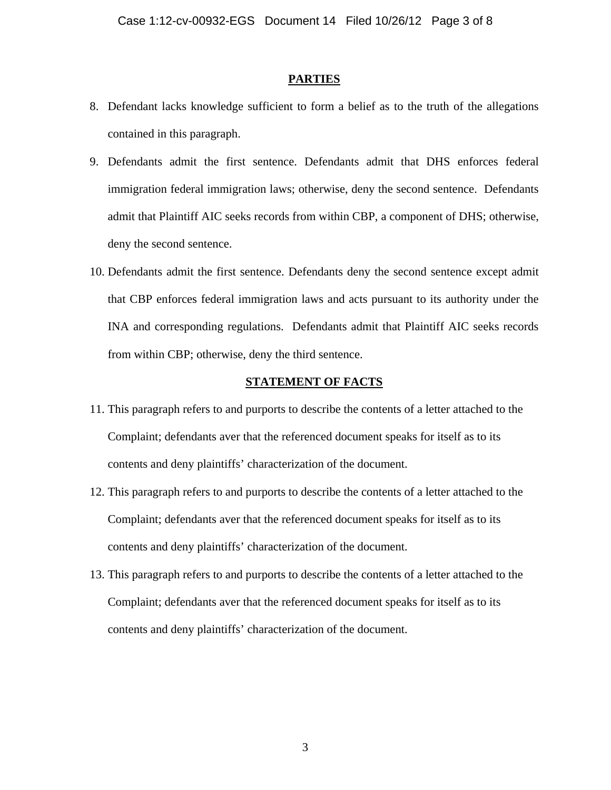## **PARTIES**

- 8. Defendant lacks knowledge sufficient to form a belief as to the truth of the allegations contained in this paragraph.
- 9. Defendants admit the first sentence. Defendants admit that DHS enforces federal immigration federal immigration laws; otherwise, deny the second sentence. Defendants admit that Plaintiff AIC seeks records from within CBP, a component of DHS; otherwise, deny the second sentence.
- 10. Defendants admit the first sentence. Defendants deny the second sentence except admit that CBP enforces federal immigration laws and acts pursuant to its authority under the INA and corresponding regulations. Defendants admit that Plaintiff AIC seeks records from within CBP; otherwise, deny the third sentence.

#### **STATEMENT OF FACTS**

- 11. This paragraph refers to and purports to describe the contents of a letter attached to the Complaint; defendants aver that the referenced document speaks for itself as to its contents and deny plaintiffs' characterization of the document.
- 12. This paragraph refers to and purports to describe the contents of a letter attached to the Complaint; defendants aver that the referenced document speaks for itself as to its contents and deny plaintiffs' characterization of the document.
- 13. This paragraph refers to and purports to describe the contents of a letter attached to the Complaint; defendants aver that the referenced document speaks for itself as to its contents and deny plaintiffs' characterization of the document.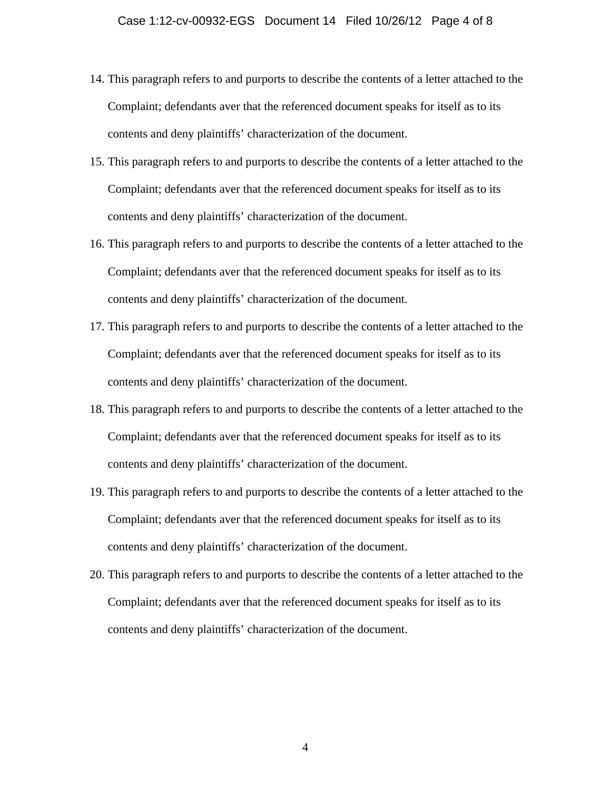- 14. This paragraph refers to and purports to describe the contents of a letter attached to the Complaint; defendants aver that the referenced document speaks for itself as to its contents and deny plaintiffs' characterization of the document.
- 15. This paragraph refers to and purports to describe the contents of a letter attached to the Complaint; defendants aver that the referenced document speaks for itself as to its contents and deny plaintiffs' characterization of the document.
- 16. This paragraph refers to and purports to describe the contents of a letter attached to the Complaint; defendants aver that the referenced document speaks for itself as to its contents and deny plaintiffs' characterization of the document.
- 17. This paragraph refers to and purports to describe the contents of a letter attached to the Complaint; defendants aver that the referenced document speaks for itself as to its contents and deny plaintiffs' characterization of the document.
- 18. This paragraph refers to and purports to describe the contents of a letter attached to the Complaint; defendants aver that the referenced document speaks for itself as to its contents and deny plaintiffs' characterization of the document.
- 19. This paragraph refers to and purports to describe the contents of a letter attached to the Complaint; defendants aver that the referenced document speaks for itself as to its contents and deny plaintiffs' characterization of the document.
- 20. This paragraph refers to and purports to describe the contents of a letter attached to the Complaint; defendants aver that the referenced document speaks for itself as to its contents and deny plaintiffs' characterization of the document.

4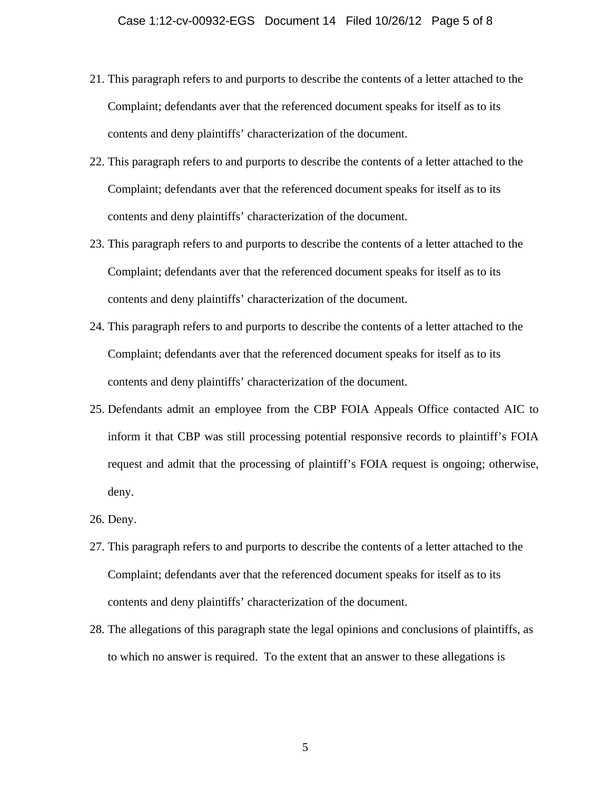- 21. This paragraph refers to and purports to describe the contents of a letter attached to the Complaint; defendants aver that the referenced document speaks for itself as to its contents and deny plaintiffs' characterization of the document.
- 22. This paragraph refers to and purports to describe the contents of a letter attached to the Complaint; defendants aver that the referenced document speaks for itself as to its contents and deny plaintiffs' characterization of the document.
- 23. This paragraph refers to and purports to describe the contents of a letter attached to the Complaint; defendants aver that the referenced document speaks for itself as to its contents and deny plaintiffs' characterization of the document.
- 24. This paragraph refers to and purports to describe the contents of a letter attached to the Complaint; defendants aver that the referenced document speaks for itself as to its contents and deny plaintiffs' characterization of the document.
- 25. Defendants admit an employee from the CBP FOIA Appeals Office contacted AIC to inform it that CBP was still processing potential responsive records to plaintiff's FOIA request and admit that the processing of plaintiff's FOIA request is ongoing; otherwise, deny.
- 26. Deny.
- 27. This paragraph refers to and purports to describe the contents of a letter attached to the Complaint; defendants aver that the referenced document speaks for itself as to its contents and deny plaintiffs' characterization of the document.
- 28. The allegations of this paragraph state the legal opinions and conclusions of plaintiffs, as to which no answer is required. To the extent that an answer to these allegations is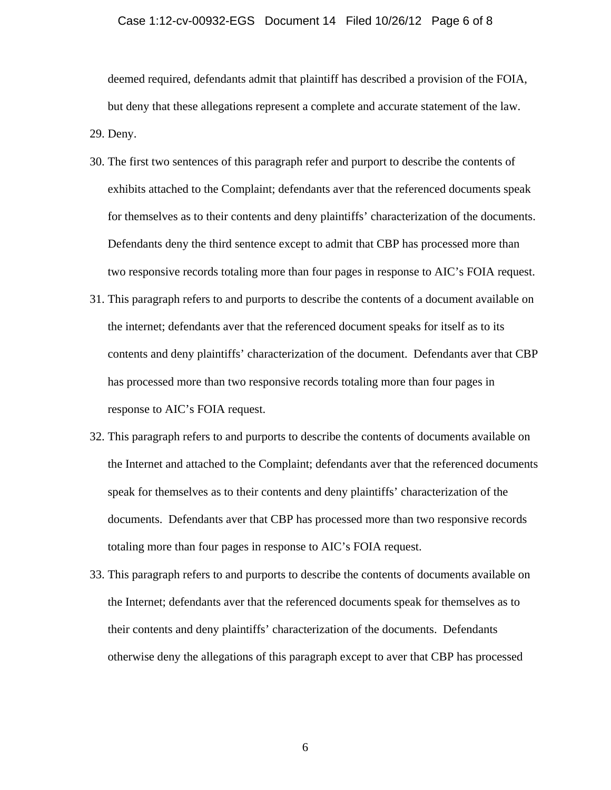#### Case 1:12-cv-00932-EGS Document 14 Filed 10/26/12 Page 6 of 8

deemed required, defendants admit that plaintiff has described a provision of the FOIA, but deny that these allegations represent a complete and accurate statement of the law. 29. Deny.

- 30. The first two sentences of this paragraph refer and purport to describe the contents of exhibits attached to the Complaint; defendants aver that the referenced documents speak for themselves as to their contents and deny plaintiffs' characterization of the documents. Defendants deny the third sentence except to admit that CBP has processed more than two responsive records totaling more than four pages in response to AIC's FOIA request.
- 31. This paragraph refers to and purports to describe the contents of a document available on the internet; defendants aver that the referenced document speaks for itself as to its contents and deny plaintiffs' characterization of the document. Defendants aver that CBP has processed more than two responsive records totaling more than four pages in response to AIC's FOIA request.
- 32. This paragraph refers to and purports to describe the contents of documents available on the Internet and attached to the Complaint; defendants aver that the referenced documents speak for themselves as to their contents and deny plaintiffs' characterization of the documents. Defendants aver that CBP has processed more than two responsive records totaling more than four pages in response to AIC's FOIA request.
- 33. This paragraph refers to and purports to describe the contents of documents available on the Internet; defendants aver that the referenced documents speak for themselves as to their contents and deny plaintiffs' characterization of the documents. Defendants otherwise deny the allegations of this paragraph except to aver that CBP has processed

6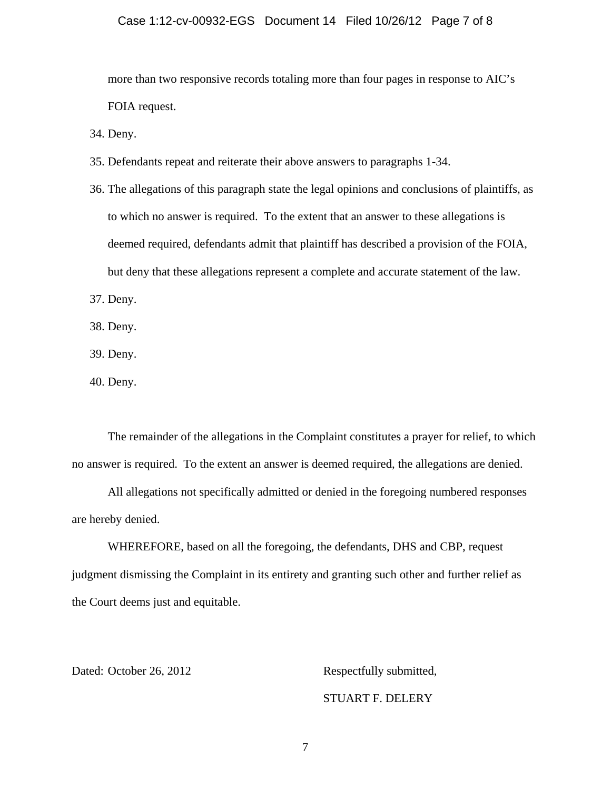## Case 1:12-cv-00932-EGS Document 14 Filed 10/26/12 Page 7 of 8

more than two responsive records totaling more than four pages in response to AIC's FOIA request.

34. Deny.

- 35. Defendants repeat and reiterate their above answers to paragraphs 1-34.
- 36. The allegations of this paragraph state the legal opinions and conclusions of plaintiffs, as to which no answer is required. To the extent that an answer to these allegations is deemed required, defendants admit that plaintiff has described a provision of the FOIA, but deny that these allegations represent a complete and accurate statement of the law.

37. Deny.

38. Deny.

39. Deny.

40. Deny.

The remainder of the allegations in the Complaint constitutes a prayer for relief, to which no answer is required. To the extent an answer is deemed required, the allegations are denied.

All allegations not specifically admitted or denied in the foregoing numbered responses are hereby denied.

WHEREFORE, based on all the foregoing, the defendants, DHS and CBP, request judgment dismissing the Complaint in its entirety and granting such other and further relief as the Court deems just and equitable.

Dated: October 26, 2012 Respectfully submitted,

## STUART F. DELERY

7